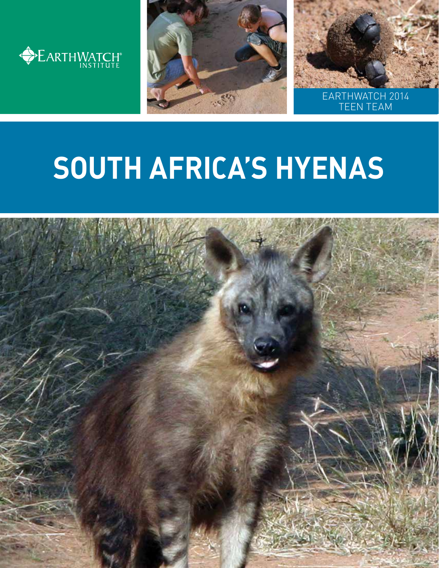





EARTHWATCH 2014 TEEN TEAM

# **SOUTH AFRICA'S HYENAS**

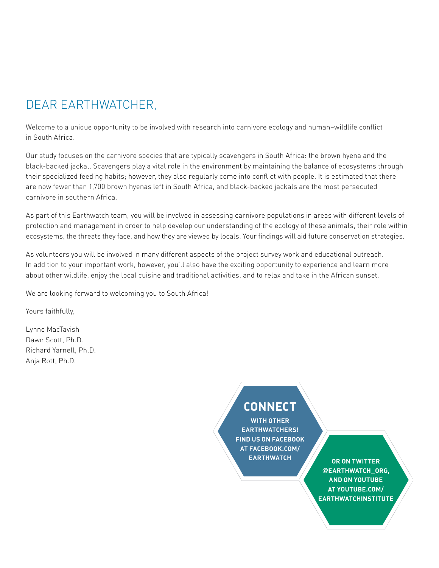## DEAR EARTHWATCHER,

Welcome to a unique opportunity to be involved with research into carnivore ecology and human–wildlife conflict in South Africa.

Our study focuses on the carnivore species that are typically scavengers in South Africa: the brown hyena and the black-backed jackal. Scavengers play a vital role in the environment by maintaining the balance of ecosystems through their specialized feeding habits; however, they also regularly come into conflict with people. It is estimated that there are now fewer than 1,700 brown hyenas left in South Africa, and black-backed jackals are the most persecuted carnivore in southern Africa.

As part of this Earthwatch team, you will be involved in assessing carnivore populations in areas with different levels of protection and management in order to help develop our understanding of the ecology of these animals, their role within ecosystems, the threats they face, and how they are viewed by locals. Your findings will aid future conservation strategies.

As volunteers you will be involved in many different aspects of the project survey work and educational outreach. In addition to your important work, however, you'll also have the exciting opportunity to experience and learn more about other wildlife, enjoy the local cuisine and traditional activities, and to relax and take in the African sunset.

We are looking forward to welcoming you to South Africa!

Yours faithfully,

Lynne MacTavish Dawn Scott, Ph.D. Richard Yarnell, Ph.D. Anja Rott, Ph.D.

## **CONNECT**

**WITH OTHER EARTHWATCHERS! FIND US ON FACEBOOK AT [FACEBOOK.COM/](https://www.facebook.com/Earthwatch) [EARTHWATCH](https://www.facebook.com/Earthwatch) OR ON TWITTER** 

**@[EARTHWATCH\\_ORG,](https://twitter.com/earthwatch_org) AND ON YOUTUBE AT [YOUTUBE.COM/](http://www.youtube.com/earthwatchinstitute) [EARTHWATCHINSTITUTE](http://www.youtube.com/earthwatchinstitute)**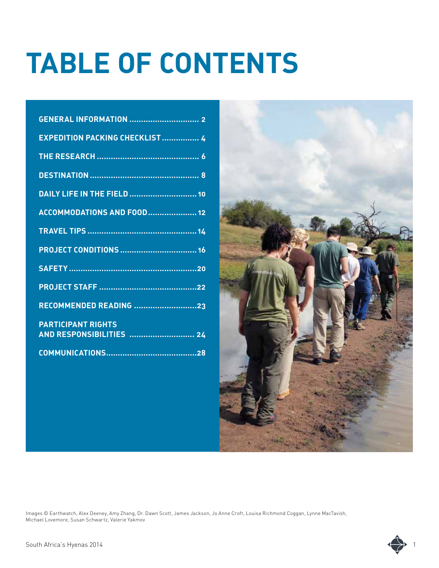# **TABLE OF CONTENTS**

| <b>EXPEDITION PACKING CHECKLIST</b> 4                        |
|--------------------------------------------------------------|
|                                                              |
|                                                              |
| DAILY LIFE IN THE FIELD  10                                  |
| <b>ACCOMMODATIONS AND FOOD 12</b>                            |
|                                                              |
|                                                              |
|                                                              |
|                                                              |
|                                                              |
| <b>PARTICIPANT RIGHTS</b><br><b>AND RESPONSIBILITIES  24</b> |
|                                                              |



Images © Earthwatch, Alex Deeney, Amy Zhang, Dr. Dawn Scott, James Jackson, Jo Anne Croft, Louisa Richmond Coggan, Lynne MacTavish, Michael Lovemore, Susan Schwartz, Valerie Yakmov

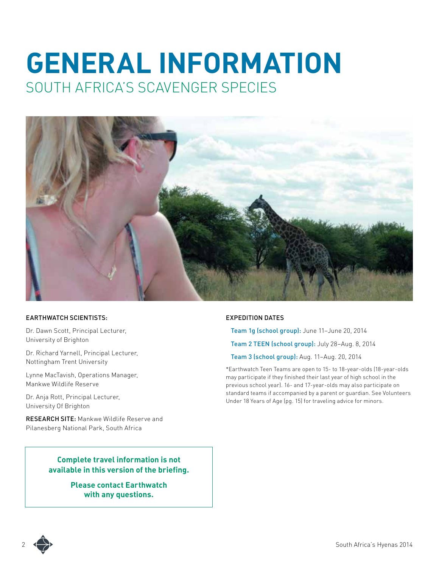## <span id="page-3-0"></span>**GENERAL INFORMATION** SOUTH AFRICA'S SCAVENGER SPECIES



#### EARTHWATCH SCIENTISTS:

Dr. Dawn Scott, Principal Lecturer, University of Brighton

Dr. Richard Yarnell, Principal Lecturer, Nottingham Trent University

Lynne MacTavish, Operations Manager, Mankwe Wildlife Reserve

Dr. Anja Rott, Principal Lecturer, University Of Brighton

RESEARCH SITE: Mankwe Wildlife Reserve and Pilanesberg National Park, South Africa

#### **Complete travel information is not available in this version of the briefing.**

**Please contact Earthwatch with any questions.**

#### EXPEDITION DATES

Team 1g (school group): June 11–June 20, 2014

Team 2 TEEN (school group): July 28–Aug. 8, 2014

Team 3 (school group): Aug. 11–Aug. 20, 2014

\*Earthwatch Teen Teams are open to 15- to 18-year-olds (18-year-olds may participate if they finished their last year of high school in the previous school year). 16- and 17-year-olds may also participate on standard teams if accompanied by a parent or guardian. See Volunteers Under 18 Years of Age (pg. 15) for traveling advice for minors.

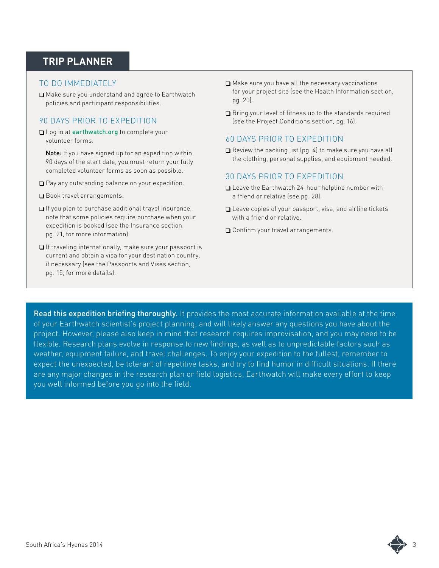### **TRIP PLANNER**

#### TO DO IMMEDIATELY

□ Make sure you understand and agree to Earthwatch policies and participant responsibilities.

#### 90 DAYS PRIOR TO EXPEDITION

□ Log in at earthwatch.org to complete your volunteer forms.

Note: If you have signed up for an expedition within 90 days of the start date, you must return your fully completed volunteer forms as soon as possible.

- $\Box$  Pay any outstanding balance on your expedition.
- Book travel arrangements.
- $\Box$  If you plan to purchase additional travel insurance, note that some policies require purchase when your expedition is booked (see the Insurance section, pg. 21, for more information).
- $\Box$  If traveling internationally, make sure your passport is current and obtain a visa for your destination country, if necessary (see the Passports and Visas section, pg. 15, for more details).
- $\Box$  Make sure you have all the necessary vaccinations for your project site (see the Health Information section, pg. 20).
- $\Box$  Bring your level of fitness up to the standards required (see the Project Conditions section, pg. 16).

#### 60 DAYS PRIOR TO EXPEDITION

 $\Box$  Review the packing list (pg. 4) to make sure you have all the clothing, personal supplies, and equipment needed.

#### 30 DAYS PRIOR TO EXPEDITION

- □ Leave the Earthwatch 24-hour helpline number with a friend or relative (see pg. 28).
- Leave copies of your passport, visa, and airline tickets with a friend or relative.
- O Confirm your travel arrangements.

Read this expedition briefing thoroughly. It provides the most accurate information available at the time of your Earthwatch scientist's project planning, and will likely answer any questions you have about the project. However, please also keep in mind that research requires improvisation, and you may need to be flexible. Research plans evolve in response to new findings, as well as to unpredictable factors such as weather, equipment failure, and travel challenges. To enjoy your expedition to the fullest, remember to expect the unexpected, be tolerant of repetitive tasks, and try to find humor in difficult situations. If there are any major changes in the research plan or field logistics, Earthwatch will make every effort to keep you well informed before you go into the field.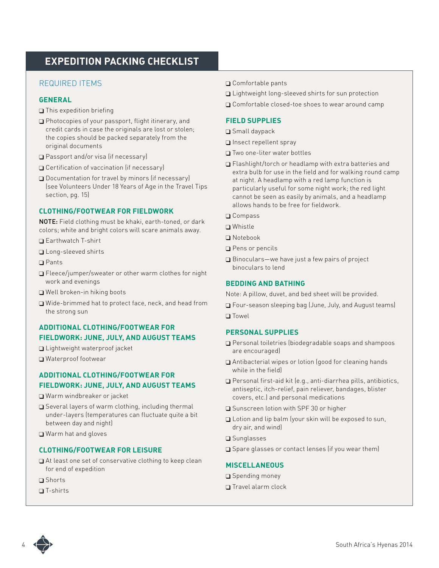## <span id="page-5-0"></span>**EXPEDITION PACKING CHECKLIST**

#### REQUIRED ITEMS

#### **GENERAL**

- $\Box$  This expedition briefing
- $\Box$  Photocopies of your passport, flight itinerary, and credit cards in case the originals are lost or stolen; the copies should be packed separately from the original documents
- □ Passport and/or visa (if necessary)
- **□** Certification of vaccination (if necessary)
- D Documentation for travel by minors (if necessary) (see Volunteers Under 18 Years of Age in the Travel Tips section, pg. 15)

#### **CLOTHING/FOOTWEAR FOR FIELDWORK**

NOTE: Field clothing must be khaki, earth-toned, or dark colors; white and bright colors will scare animals away.

- □ Earthwatch T-shirt
- **Q** Long-sleeved shirts
- $\Box$  Pants
- □ Fleece/jumper/sweater or other warm clothes for night work and evenings
- **Q** Well broken-in hiking boots
- **Q** Wide-brimmed hat to protect face, neck, and head from the strong sun

#### **ADDITIONAL CLOTHING/FOOTWEAR FOR FIELDWORK: JUNE, JULY, AND AUGUST TEAMS**

- □ Lightweight waterproof jacket
- **□** Waterproof footwear

#### **ADDITIONAL CLOTHING/FOOTWEAR FOR FIELDWORK: JUNE, JULY, AND AUGUST TEAMS**

- **Q** Warm windbreaker or jacket
- □ Several layers of warm clothing, including thermal under-layers (temperatures can fluctuate quite a bit between day and night)
- **Q** Warm hat and gloves

#### **CLOTHING/FOOTWEAR FOR LEISURE**

- $\Box$  At least one set of conservative clothing to keep clean for end of expedition
- $\Box$  Shorts
- $\n T$ -shirts
- □ Comfortable pants
- □ Lightweight long-sleeved shirts for sun protection
- □ Comfortable closed-toe shoes to wear around camp

#### **FIELD SUPPLIES**

- □ Small daypack
- **Q** Insect repellent spray
- $\Box$  Two one-liter water bottles
- □ Flashlight/torch or headlamp with extra batteries and extra bulb for use in the field and for walking round camp at night. A headlamp with a red lamp function is particularly useful for some night work; the red light cannot be seen as easily by animals, and a headlamp allows hands to be free for fieldwork.
- □ Compass
- **□** Whistle
- Notebook
- **Q** Pens or pencils
- $\Box$  Binoculars—we have just a few pairs of project binoculars to lend

#### **BEDDING AND BATHING**

Note: A pillow, duvet, and bed sheet will be provided.

**□** Four-season sleeping bag (June, July, and August teams)

 $\square$  Towel

#### **PERSONAL SUPPLIES**

- **p** Personal toiletries (biodegradable soaps and shampoos are encouraged)
- **■** Antibacterial wipes or lotion (good for cleaning hands while in the field)
- □ Personal first-aid kit (e.g., anti-diarrhea pills, antibiotics, antiseptic, itch-relief, pain reliever, bandages, blister covers, etc.) and personal medications
- □ Sunscreen lotion with SPF 30 or higher
- $\Box$  Lotion and lip balm (your skin will be exposed to sun, dry air, and wind)
- **Q** Sunglasses
- □ Spare glasses or contact lenses (if you wear them)

#### **MISCELLANEOUS**

- □ Spending money
- $\Box$  Travel alarm clock

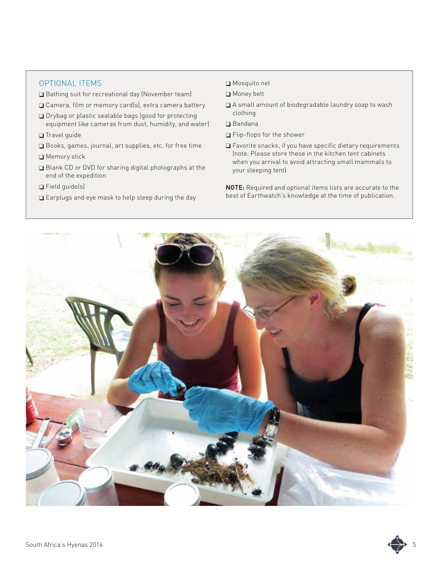#### OPTIONAL ITEMS

- □ Bathing suit for recreational day (November team)
- □ Camera, film or memory card(s), extra camera battery
- □ Drybag or plastic sealable bags (good for protecting equipment like cameras from dust, humidity, and water)
- $\Box$  Travel guide
- □ Books, games, journal, art supplies, etc. for free time
- **□** Memory stick
- □ Blank CD or DVD for sharing digital photographs at the end of the expedition
- □ Field guide(s)
- □ Earplugs and eye mask to help sleep during the day
- Mosquito net
- Money belt
- $\square$  A small amount of biodegradable laundry soap to wash clothing
- **□** Bandana
- □ Flip-flops for the shower
- G Favorite snacks, if you have specific dietary requirements (note: Please store these in the kitchen tent cabinets when you arrival to avoid attracting small mammals to your sleeping tent)

NOTE: Required and optional items lists are accurate to the best of Earthwatch's knowledge at the time of publication.

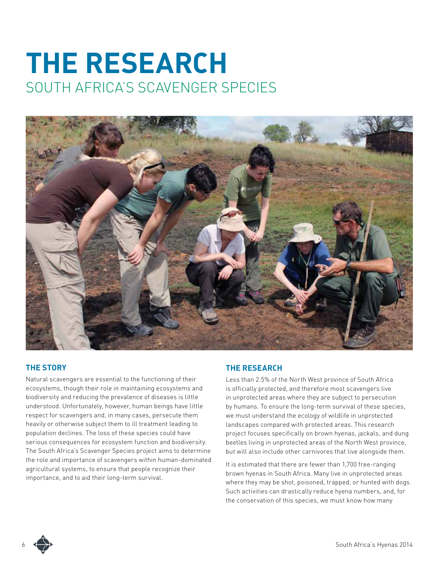## <span id="page-7-0"></span>**THE RESEARCH** SOUTH AFRICA'S SCAVENGER SPECIES



#### **THE STORY**

Natural scavengers are essential to the functioning of their ecosystems, though their role in maintaining ecosystems and biodiversity and reducing the prevalence of diseases is little understood. Unfortunately, however, human beings have little respect for scavengers and, in many cases, persecute them heavily or otherwise subject them to ill treatment leading to population declines. The loss of these species could have serious consequences for ecosystem function and biodiversity. The South Africa's Scavenger Species project aims to determine the role and importance of scavengers within human-dominated agricultural systems, to ensure that people recognize their importance, and to aid their long-term survival.

#### **THE RESEARCH**

Less than 2.5% of the North West province of South Africa is officially protected, and therefore most scavengers live in unprotected areas where they are subject to persecution by humans. To ensure the long-term survival of these species, we must understand the ecology of wildlife in unprotected landscapes compared with protected areas. This research project focuses specifically on brown hyenas, jackals, and dung beetles living in unprotected areas of the North West province, but will also include other carnivores that live alongside them.

It is estimated that there are fewer than 1,700 free-ranging brown hyenas in South Africa. Many live in unprotected areas where they may be shot, poisoned, trapped, or hunted with dogs. Such activities can drastically reduce hyena numbers, and, for the conservation of this species, we must know how many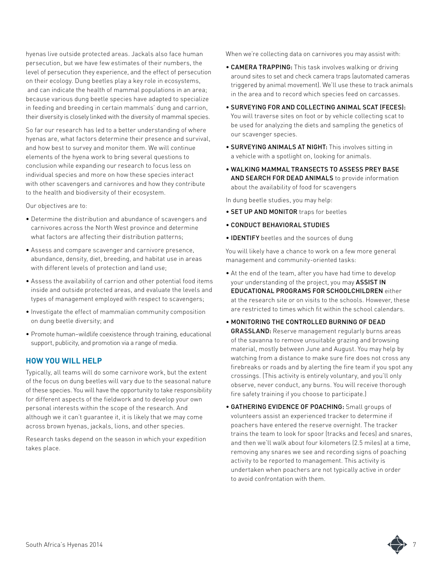hyenas live outside protected areas. Jackals also face human persecution, but we have few estimates of their numbers, the level of persecution they experience, and the effect of persecution on their ecology. Dung beetles play a key role in ecosystems, and can indicate the health of mammal populations in an area; because various dung beetle species have adapted to specialize in feeding and breeding in certain mammals' dung and carrion, their diversity is closely linked with the diversity of mammal species.

So far our research has led to a better understanding of where hyenas are, what factors determine their presence and survival, and how best to survey and monitor them. We will continue elements of the hyena work to bring several questions to conclusion while expanding our research to focus less on individual species and more on how these species interact with other scavengers and carnivores and how they contribute to the health and biodiversity of their ecosystem.

Our objectives are to:

- Determine the distribution and abundance of scavengers and carnivores across the North West province and determine what factors are affecting their distribution patterns;
- Assess and compare scavenger and carnivore presence, abundance, density, diet, breeding, and habitat use in areas with different levels of protection and land use;
- Assess the availability of carrion and other potential food items inside and outside protected areas, and evaluate the levels and types of management employed with respect to scavengers;
- Investigate the effect of mammalian community composition on dung beetle diversity; and
- Promote human–wildlife coexistence through training, educational support, publicity, and promotion via a range of media.

#### **HOW YOU WILL HELP**

Typically, all teams will do some carnivore work, but the extent of the focus on dung beetles will vary due to the seasonal nature of these species. You will have the opportunity to take responsibility for different aspects of the fieldwork and to develop your own personal interests within the scope of the research. And although we it can't guarantee it, it is likely that we may come across brown hyenas, jackals, lions, and other species.

Research tasks depend on the season in which your expedition takes place.

When we're collecting data on carnivores you may assist with:

- CAMERA TRAPPING: This task involves walking or driving around sites to set and check camera traps (automated cameras triggered by animal movement). We'll use these to track animals in the area and to record which species feed on carcasses.
- SURVEYING FOR AND COLLECTING ANIMAL SCAT (FECES): You will traverse sites on foot or by vehicle collecting scat to be used for analyzing the diets and sampling the genetics of our scavenger species.
- SURVEYING ANIMALS AT NIGHT: This involves sitting in a vehicle with a spotlight on, looking for animals.
- WALKING MAMMAL TRANSECTS TO ASSESS PREY BASE **AND SEARCH FOR DEAD ANIMALS** to provide information about the availability of food for scavengers

In dung beetle studies, you may help:

- SET UP AND MONITOR traps for beetles
- CONDUCT BEHAVIORAL STUDIES
- IDENTIFY beetles and the sources of dung

You will likely have a chance to work on a few more general management and community-oriented tasks:

- At the end of the team, after you have had time to develop your understanding of the project, you may ASSIST IN EDUCATIONAL PROGRAMS FOR SCHOOLCHILDREN either at the research site or on visits to the schools. However, these are restricted to times which fit within the school calendars.
- MONITORING THE CONTROLLED BURNING OF DEAD **GRASSLAND:** Reserve management regularly burns areas of the savanna to remove unsuitable grazing and browsing material, mostly between June and August. You may help by watching from a distance to make sure fire does not cross any firebreaks or roads and by alerting the fire team if you spot any crossings. (This activity is entirely voluntary, and you'll only observe, never conduct, any burns. You will receive thorough fire safety training if you choose to participate.)
- GATHERING EVIDENCE OF POACHING: Small groups of volunteers assist an experienced tracker to determine if poachers have entered the reserve overnight. The tracker trains the team to look for spoor (tracks and feces) and snares, and then we'll walk about four kilometers (2.5 miles) at a time, removing any snares we see and recording signs of poaching activity to be reported to management. This activity is undertaken when poachers are not typically active in order to avoid confrontation with them.

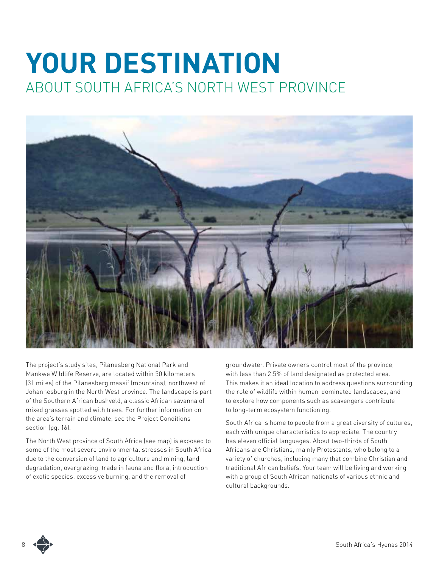## <span id="page-9-0"></span>**YOUR DESTINATION** ABOUT SOUTH AFRICA'S NORTH WEST PROVINCE



The project's study sites, Pilanesberg National Park and Mankwe Wildlife Reserve, are located within 50 kilometers (31 miles) of the Pilanesberg massif (mountains), northwest of Johannesburg in the North West province. The landscape is part of the Southern African bushveld, a classic African savanna of mixed grasses spotted with trees. For further information on the area's terrain and climate, see the Project Conditions section (pg. 16).

The North West province of South Africa (see map) is exposed to some of the most severe environmental stresses in South Africa due to the conversion of land to agriculture and mining, land degradation, overgrazing, trade in fauna and flora, introduction of exotic species, excessive burning, and the removal of

groundwater. Private owners control most of the province, with less than 2.5% of land designated as protected area. This makes it an ideal location to address questions surrounding the role of wildlife within human-dominated landscapes, and to explore how components such as scavengers contribute to long-term ecosystem functioning.

South Africa is home to people from a great diversity of cultures, each with unique characteristics to appreciate. The country has eleven official languages. About two-thirds of South Africans are Christians, mainly Protestants, who belong to a variety of churches, including many that combine Christian and traditional African beliefs. Your team will be living and working with a group of South African nationals of various ethnic and cultural backgrounds.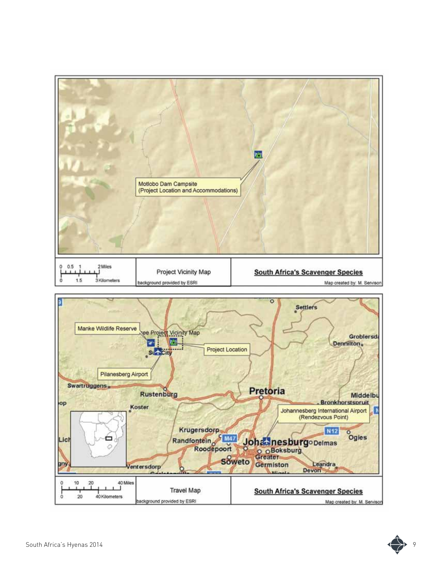

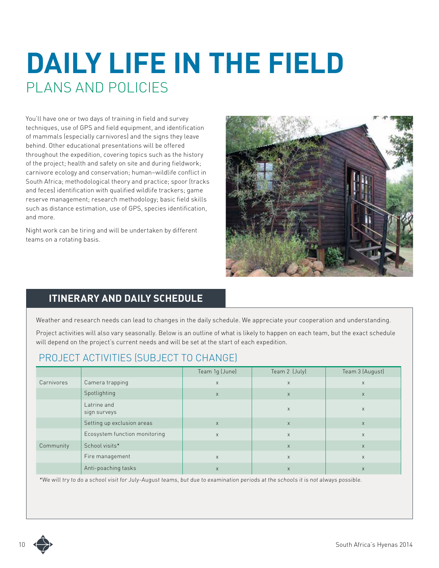## <span id="page-11-0"></span>**DAILY LIFE IN THE FIELD** PLANS AND POLICIES

You'll have one or two days of training in field and survey techniques, use of GPS and field equipment, and identification of mammals (especially carnivores) and the signs they leave behind. Other educational presentations will be offered throughout the expedition, covering topics such as the history of the project; health and safety on site and during fieldwork; carnivore ecology and conservation; human–wildlife conflict in South Africa; methodological theory and practice; spoor (tracks and feces) identification with qualified wildlife trackers; game reserve management; research methodology; basic field skills such as distance estimation, use of GPS, species identification, and more.

Night work can be tiring and will be undertaken by different teams on a rotating basis.



## **ITINERARY AND DAILY SCHEDULE**

Weather and research needs can lead to changes in the daily schedule. We appreciate your cooperation and understanding.

Project activities will also vary seasonally. Below is an outline of what is likely to happen on each team, but the exact schedule will depend on the project's current needs and will be set at the start of each expedition.

## PROJECT ACTIVITIES (SUBJECT TO CHANGE)

|            |                               | Team 1g (June) | Team 2 (July) | Team 3 (August) |
|------------|-------------------------------|----------------|---------------|-----------------|
| Carnivores | Camera trapping               | $\times$       | $\chi$        | $\mathsf X$     |
|            | Spotlighting                  | $\times$       | $\times$      | X               |
|            | Latrine and<br>sign surveys   |                | $\times$      | $\times$        |
|            | Setting up exclusion areas    | $\times$       | $\mathsf{X}$  | $\chi$          |
|            | Ecosystem function monitoring | $\times$       | $\chi$        | $\times$        |
| Community  | School visits*                |                | $\mathsf{X}$  | $\mathsf{X}$    |
|            | Fire management               | $\times$       | $\chi$        | $\times$        |
|            | Anti-poaching tasks           | $\times$       | $\mathsf{X}$  | $\mathsf{X}$    |

\*We will try to do a school visit for July-August teams, but due to examination periods at the schools it is not always possible.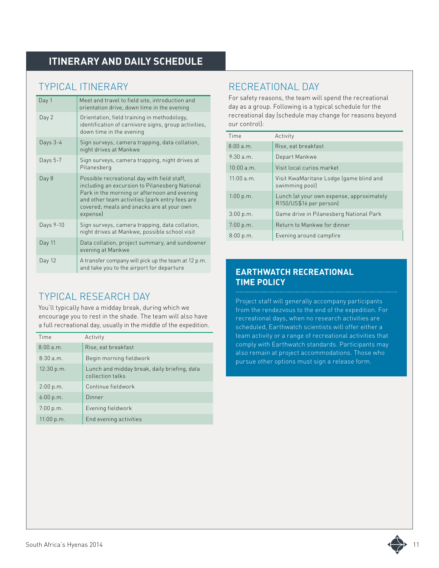## **ITINERARY AND DAILY SCHEDULE**

### TYPICAL ITINERARY

|  | Day 1     | Meet and travel to field site, introduction and<br>orientation drive, down time in the evening                                                                                                                                                           |
|--|-----------|----------------------------------------------------------------------------------------------------------------------------------------------------------------------------------------------------------------------------------------------------------|
|  | Day 2     | Orientation, field training in methodology,<br>identification of carnivore signs, group activities,<br>down time in the evening                                                                                                                          |
|  | Days 3-4  | Sign surveys, camera trapping, data collation,<br>night drives at Mankwe                                                                                                                                                                                 |
|  | Days 5-7  | Sign surveys, camera trapping, night drives at<br>Pilanesberg                                                                                                                                                                                            |
|  | Day 8     | Possible recreational day with field staff,<br>including an excursion to Pilanesberg National<br>Park in the morning or afternoon and evening<br>and other team activities (park entry fees are<br>covered; meals and snacks are at your own<br>expense) |
|  | Days 9-10 | Sign surveys, camera trapping, data collation,<br>night drives at Mankwe, possible school visit                                                                                                                                                          |
|  | Day 11    | Data collation, project summary, and sundowner<br>evening at Mankwe                                                                                                                                                                                      |
|  | Day 12    | A transfer company will pick up the team at 12 p.m.<br>and take you to the airport for departure                                                                                                                                                         |

## TYPICAL RESEARCH DAY

You'll typically have a midday break, during which we encourage you to rest in the shade. The team will also have a full recreational day, usually in the middle of the expedition.

| Time       | Activity                                                         |
|------------|------------------------------------------------------------------|
| 8:00a.m.   | Rise, eat breakfast                                              |
| 8:30a.m.   | Begin morning fieldwork                                          |
| 12:30 p.m. | Lunch and midday break, daily briefing, data<br>collection talks |
| 2:00 p.m.  | Continue fieldwork                                               |
| 6:00 p.m.  | Dinner                                                           |
| 7:00 p.m.  | Evening fieldwork                                                |
| 11:00 p.m. | End evening activities                                           |

### RECREATIONAL DAY

For safety reasons, the team will spend the recreational day as a group. Following is a typical schedule for the recreational day (schedule may change for reasons beyond our control):

| Time         | Activity                                                             |
|--------------|----------------------------------------------------------------------|
| 8:00a.m.     | Rise, eat breakfast                                                  |
| 9:30a.m.     | Depart Mankwe                                                        |
| 10:00a.m.    | Visit local curios market                                            |
| $11:00$ a.m. | Visit KwaMaritane Lodge (game blind and<br>swimming pool)            |
| 1:00 p.m.    | Lunch (at your own expense, approximately<br>R150/US\$16 per person) |
| 3:00 p.m.    | Game drive in Pilanesberg National Park                              |
| 7:00 p.m.    | Return to Mankwe for dinner                                          |
| 8:00 p.m.    | Evening around campfire                                              |

#### **EARTHWATCH RECREATIONAL TIME POLICY**

Project staff will generally accompany participants from the rendezvous to the end of the expedition. For recreational days, when no research activities are scheduled, Earthwatch scientists will offer either a team activity or a range of recreational activities that comply with Earthwatch standards. Participants may also remain at project accommodations. Those who pursue other options must sign a release form.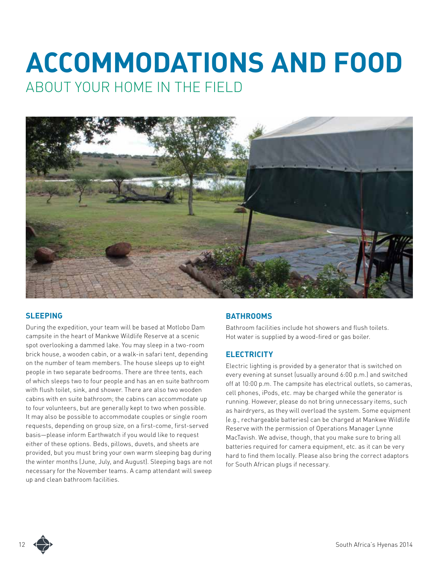## <span id="page-13-0"></span>**ACCOMMODATIONS AND FOOD** ABOUT YOUR HOME IN THE FIELD



#### **SLEEPING**

During the expedition, your team will be based at Motlobo Dam campsite in the heart of Mankwe Wildlife Reserve at a scenic spot overlooking a dammed lake. You may sleep in a two-room brick house, a wooden cabin, or a walk-in safari tent, depending on the number of team members. The house sleeps up to eight people in two separate bedrooms. There are three tents, each of which sleeps two to four people and has an en suite bathroom with flush toilet, sink, and shower. There are also two wooden cabins with en suite bathroom; the cabins can accommodate up to four volunteers, but are generally kept to two when possible. It may also be possible to accommodate couples or single room requests, depending on group size, on a first-come, first-served basis—please inform Earthwatch if you would like to request either of these options. Beds, pillows, duvets, and sheets are provided, but you must bring your own warm sleeping bag during the winter months (June, July, and August). Sleeping bags are not necessary for the November teams. A camp attendant will sweep up and clean bathroom facilities.

#### **BATHROOMS**

Bathroom facilities include hot showers and flush toilets. Hot water is supplied by a wood-fired or gas boiler.

#### **ELECTRICITY**

Electric lighting is provided by a generator that is switched on every evening at sunset (usually around 6:00 p.m.) and switched off at 10:00 p.m. The campsite has electrical outlets, so cameras, cell phones, iPods, etc. may be charged while the generator is running. However, please do not bring unnecessary items, such as hairdryers, as they will overload the system. Some equipment (e.g., rechargeable batteries) can be charged at Mankwe Wildlife Reserve with the permission of Operations Manager Lynne MacTavish. We advise, though, that you make sure to bring all batteries required for camera equipment, etc. as it can be very hard to find them locally. Please also bring the correct adaptors for South African plugs if necessary.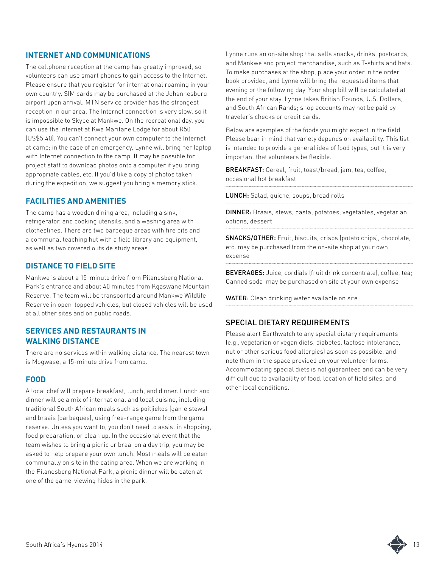#### **INTERNET AND COMMUNICATIONS**

The cellphone reception at the camp has greatly improved, so volunteers can use smart phones to gain access to the Internet. Please ensure that you register for international roaming in your own country. SIM cards may be purchased at the Johannesburg airport upon arrival. MTN service provider has the strongest reception in our area. The Internet connection is very slow, so it is impossible to Skype at Mankwe. On the recreational day, you can use the Internet at Kwa Maritane Lodge for about R50 (US\$5.40). You can't connect your own computer to the Internet at camp; in the case of an emergency, Lynne will bring her laptop with Internet connection to the camp. It may be possible for project staff to download photos onto a computer if you bring appropriate cables, etc. If you'd like a copy of photos taken during the expedition, we suggest you bring a memory stick.

#### **FACILITIES AND AMENITIES**

The camp has a wooden dining area, including a sink, refrigerator, and cooking utensils, and a washing area with clotheslines. There are two barbeque areas with fire pits and a communal teaching hut with a field library and equipment, as well as two covered outside study areas.

#### **DISTANCE TO FIELD SITE**

Mankwe is about a 15-minute drive from Pilanesberg National Park's entrance and about 40 minutes from Kgaswane Mountain Reserve. The team will be transported around Mankwe Wildlife Reserve in open-topped vehicles, but closed vehicles will be used at all other sites and on public roads.

#### **SERVICES AND RESTAURANTS IN WALKING DISTANCE**

There are no services within walking distance. The nearest town is Mogwase, a 15-minute drive from camp.

#### **FOOD**

A local chef will prepare breakfast, lunch, and dinner. Lunch and dinner will be a mix of international and local cuisine, including traditional South African meals such as poitjiekos (game stews) and braais (barbeques), using free-range game from the game reserve. Unless you want to, you don't need to assist in shopping, food preparation, or clean up. In the occasional event that the team wishes to bring a picnic or braai on a day trip, you may be asked to help prepare your own lunch. Most meals will be eaten communally on site in the eating area. When we are working in the Pilanesberg National Park, a picnic dinner will be eaten at one of the game-viewing hides in the park.

Lynne runs an on-site shop that sells snacks, drinks, postcards, and Mankwe and project merchandise, such as T-shirts and hats. To make purchases at the shop, place your order in the order book provided, and Lynne will bring the requested items that evening or the following day. Your shop bill will be calculated at the end of your stay. Lynne takes British Pounds, U.S. Dollars, and South African Rands; shop accounts may not be paid by traveler's checks or credit cards.

Below are examples of the foods you might expect in the field. Please bear in mind that variety depends on availability. This list is intended to provide a general idea of food types, but it is very important that volunteers be flexible.

BREAKFAST: Cereal, fruit, toast/bread, jam, tea, coffee, occasional hot breakfast

LUNCH: Salad, quiche, soups, bread rolls

DINNER: Braais, stews, pasta, potatoes, vegetables, vegetarian options, dessert

SNACKS/OTHER: Fruit, biscuits, crisps (potato chips), chocolate, etc. may be purchased from the on-site shop at your own expense

BEVERAGES: Juice, cordials (fruit drink concentrate), coffee, tea; Canned soda may be purchased on site at your own expense

WATER: Clean drinking water available on site

#### SPECIAL DIETARY REQUIREMENTS

Please alert Earthwatch to any special dietary requirements (e.g., vegetarian or vegan diets, diabetes, lactose intolerance, nut or other serious food allergies) as soon as possible, and note them in the space provided on your volunteer forms. Accommodating special diets is not guaranteed and can be very difficult due to availability of food, location of field sites, and other local conditions.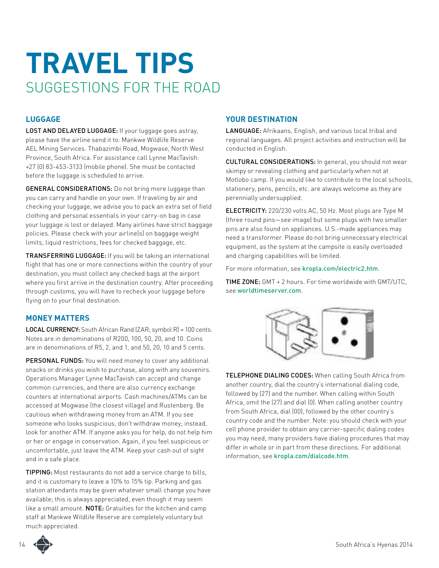## <span id="page-15-0"></span>**TRAVEL TIPS** SUGGESTIONS FOR THE ROAD

#### **LUGGAGE**

LOST AND DELAYED LUGGAGE: If your luggage goes astray, please have the airline send it to: Mankwe Wildlife Reserve AEL Mining Services. Thabazimbi Road, Mogwase, North West Province, South Africa. For assistance call Lynne MacTavish: +27 (0) 83-453-3133 (mobile phone). She must be contacted before the luggage is scheduled to arrive.

GENERAL CONSIDERATIONS: Do not bring more luggage than you can carry and handle on your own. If traveling by air and checking your luggage, we advise you to pack an extra set of field clothing and personal essentials in your carry-on bag in case your luggage is lost or delayed. Many airlines have strict baggage policies. Please check with your airline(s) on baggage weight limits, liquid restrictions, fees for checked baggage, etc.

TRANSFERRING LUGGAGE: If you will be taking an international flight that has one or more connections within the country of your destination, you must collect any checked bags at the airport where you first arrive in the destination country. After proceeding through customs, you will have to recheck your luggage before flying on to your final destination.

#### **MONEY MATTERS**

**LOCAL CURRENCY:** South African Rand  $[ZAR;$  symbol  $R$ ) = 100 cents. Notes are in denominations of R200, 100, 50, 20, and 10. Coins are in denominations of R5, 2, and 1, and 50, 20, 10 and 5 cents.

PERSONAL FUNDS: You will need money to cover any additional snacks or drinks you wish to purchase, along with any souvenirs. Operations Manager Lynne MacTavish can accept and change common currencies, and there are also currency exchange counters at international airports. Cash machines/ATMs can be accessed at Mogwase (the closest village) and Rustenberg. Be cautious when withdrawing money from an ATM. If you see someone who looks suspicious, don't withdraw money; instead, look for another ATM. If anyone asks you for help, do not help him or her or engage in conservation. Again, if you feel suspicious or uncomfortable, just leave the ATM. Keep your cash out of sight and in a safe place.

TIPPING: Most restaurants do not add a service charge to bills, and it is customary to leave a 10% to 15% tip. Parking and gas station attendants may be given whatever small change you have available; this is always appreciated, even though it may seem like a small amount. NOTE: Gratuities for the kitchen and camp staff at Mankwe Wildlife Reserve are completely voluntary but much appreciated.

#### **YOUR DESTINATION**

LANGUAGE: Afrikaans, English, and various local tribal and regional languages. All project activities and instruction will be conducted in English.

CULTURAL CONSIDERATIONS: In general, you should not wear skimpy or revealing clothing and particularly when not at Motlobo camp. If you would like to contribute to the local schools, stationery, pens, pencils, etc. are always welcome as they are perennially undersupplied.

ELECTRICITY: 220/230 volts AC, 50 Hz. Most plugs are Type M (three round pins—see image) but some plugs with two smaller pins are also found on appliances. U.S.-made appliances may need a transformer. Please do not bring unnecessary electrical equipment, as the system at the campsite is easily overloaded and charging capabilities will be limited.

For more information, see [kropla.com/electric2.htm](http://www.kropla.com/electric2.htm).

TIME ZONE: GMT + 2 hours. For time worldwide with GMT/UTC, see [worldtimeserver.com](http://www.worldtimeserver.com).



TELEPHONE DIALING CODES: When calling South Africa from another country, dial the country's international dialing code, followed by (27) and the number. When calling within South Africa, omit the (27) and dial (0). When calling another country from South Africa, dial (00), followed by the other country's country code and the number. Note: you should check with your cell phone provider to obtain any carrier-specific dialing codes you may need; many providers have dialing procedures that may differ in whole or in part from these directions. For additional information, see [kropla.com/dialcode.htm](http://countrycode.org).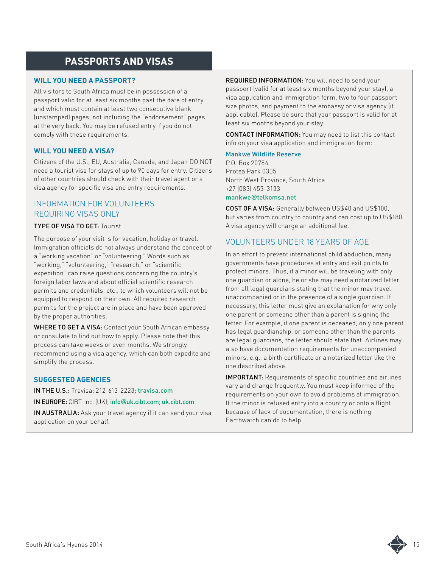## **PASSPORTS AND VISAS**

#### **WILL YOU NEED A PASSPORT?**

All visitors to South Africa must be in possession of a passport valid for at least six months past the date of entry and which must contain at least two consecutive blank (unstamped) pages, not including the "endorsement" pages at the very back. You may be refused entry if you do not comply with these requirements.

#### **WILL YOU NEED A VISA?**

Citizens of the U.S., EU, Australia, Canada, and Japan DO NOT need a tourist visa for stays of up to 90 days for entry. Citizens of other countries should check with their travel agent or a visa agency for specific visa and entry requirements.

#### INFORMATION FOR VOLUNTEERS REQUIRING VISAS ONLY

#### TYPE OF VISA TO GET: Tourist

The purpose of your visit is for vacation, holiday or travel. Immigration officials do not always understand the concept of a "working vacation" or "volunteering." Words such as "working," "volunteering," "research," or "scientific expedition" can raise questions concerning the country's foreign labor laws and about official scientific research permits and credentials, etc., to which volunteers will not be equipped to respond on their own. All required research permits for the project are in place and have been approved by the proper authorities.

WHERE TO GET A VISA: Contact your South African embassy or consulate to find out how to apply. Please note that this process can take weeks or even months. We strongly recommend using a visa agency, which can both expedite and simplify the process.

#### **SUGGESTED AGENCIES**

IN THE U.S.: Travisa; 212-613-2223; [travisa.com](http://www.travisa.com) IN EUROPE: CIBT, Inc. (UK); info**@**[uk.cibt.com](mailto:info@uk.cibt.com); [uk.cibt.com](http://www.uk.cibt.com)

IN AUSTRALIA: Ask your travel agency if it can send your visa application on your behalf.

REQUIRED INFORMATION: You will need to send your passport (valid for at least six months beyond your stay), a visa application and immigration form, two to four passportsize photos, and payment to the embassy or visa agency (if applicable). Please be sure that your passport is valid for at least six months beyond your stay.

CONTACT INFORMATION: You may need to list this contact info on your visa application and immigration form:

#### Mankwe Wildlife Reserve

P.O. Box 20784 Protea Park 0305 North West Province, South Africa +27 (083) 453-3133

#### mankwe**@**[telkomsa.net](mailto:mankwe@telkomsa.net)

COST OF A VISA: Generally between US\$40 and US\$100, but varies from country to country and can cost up to US\$180. A visa agency will charge an additional fee.

#### VOLUNTEERS UNDER 18 YEARS OF AGE

In an effort to prevent international child abduction, many governments have procedures at entry and exit points to protect minors. Thus, if a minor will be traveling with only one guardian or alone, he or she may need a notarized letter from all legal guardians stating that the minor may travel unaccompanied or in the presence of a single guardian. If necessary, this letter must give an explanation for why only one parent or someone other than a parent is signing the letter. For example, if one parent is deceased, only one parent has legal guardianship, or someone other than the parents are legal guardians, the letter should state that. Airlines may also have documentation requirements for unaccompanied minors, e.g., a birth certificate or a notarized letter like the one described above.

IMPORTANT: Requirements of specific countries and airlines vary and change frequently. You must keep informed of the requirements on your own to avoid problems at immigration. If the minor is refused entry into a country or onto a flight because of lack of documentation, there is nothing Earthwatch can do to help.

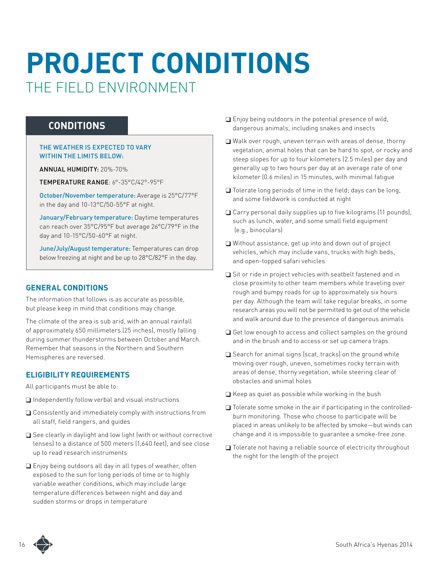## <span id="page-17-0"></span>**PROJECT CONDITIONS** THE FIELD ENVIRONMENT

### **CONDITIONS**

#### THE WEATHER IS EXPECTED TO VARY WITHIN THE LIMITS BELOW:

ANNUAL HUMIDITY: 20%-70%

TEMPERATURE RANGE: 6°-35°C/42°-95°F

October/November temperature: Average is 25°C/77°F in the day and 10-13°C/50-55°F at night.

January/February temperature: Daytime temperatures can reach over 35°C/95°F but average 26°C/79°F in the day and 10-15°C/50-60°F at night.

June/July/August temperature: Temperatures can drop below freezing at night and be up to 28°C/82°F in the day.

#### **GENERAL CONDITIONS**

The information that follows is as accurate as possible, but please keep in mind that conditions may change.

The climate of the area is sub arid, with an annual rainfall of approximately 650 millimeters (25 inches), mostly falling during summer thunderstorms between October and March. Remember that seasons in the Northern and Southern Hemispheres are reversed.

#### **ELIGIBILITY REQUIREMENTS**

All participants must be able to:

- $\Box$  Independently follow verbal and visual instructions
- $\Box$  Consistently and immediately comply with instructions from all staff, field rangers, and guides
- $\Box$  See clearly in daylight and low light (with or without corrective lenses) to a distance of 500 meters (1,640 feet), and see close up to read research instruments
- □ Enjoy being outdoors all day in all types of weather, often exposed to the sun for long periods of time or to highly variable weather conditions, which may include large temperature differences between night and day and sudden storms or drops in temperature
- $\Box$  Enjoy being outdoors in the potential presence of wild, dangerous animals, including snakes and insects
- q Walk over rough, uneven terrain with areas of dense, thorny vegetation, animal holes that can be hard to spot, or rocky and steep slopes for up to four kilometers (2.5 miles) per day and generally up to two hours per day at an average rate of one kilometer (0.6 miles) in 15 minutes, with minimal fatigue
- $\Box$  Tolerate long periods of time in the field; days can be long, and some fieldwork is conducted at night
- □ Carry personal daily supplies up to five kilograms (11 pounds), such as lunch, water, and some small field equipment (e.g., binoculars)
- Without assistance, get up into and down out of project vehicles, which may include vans, trucks with high beds, and open-topped safari vehicles
- □ Sit or ride in project vehicles with seatbelt fastened and in close proximity to other team members while traveling over rough and bumpy roads for up to approximately six hours per day. Although the team will take regular breaks, in some research areas you will not be permitted to get out of the vehicle and walk around due to the presence of dangerous animals
- $\Box$  Get low enough to access and collect samples on the ground and in the brush and to access or set up camera traps
- **■** Search for animal signs (scat, tracks) on the ground while moving over rough, uneven, sometimes rocky terrain with areas of dense, thorny vegetation, while steering clear of obstacles and animal holes
- $\Box$  Keep as quiet as possible while working in the bush
- $\Box$  Tolerate some smoke in the air if participating in the controlledburn monitoring. Those who choose to participate will be placed in areas unlikely to be affected by smoke—but winds can change and it is impossible to guarantee a smoke-free zone.
- □ Tolerate not having a reliable source of electricity throughout the night for the length of the project

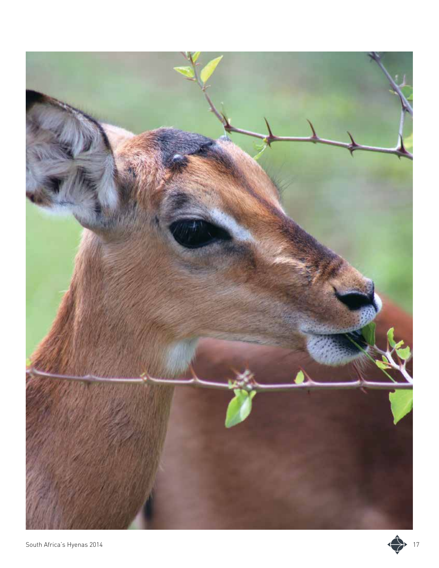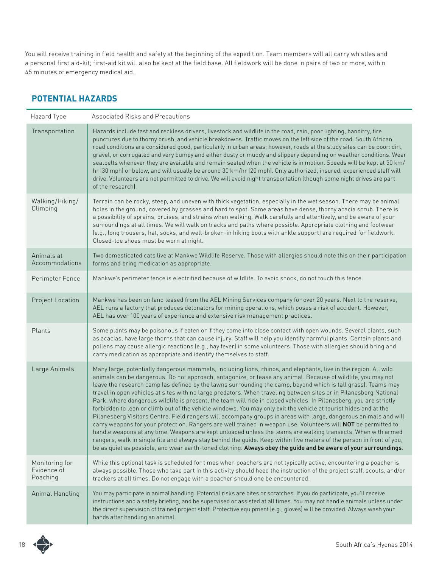You will receive training in field health and safety at the beginning of the expedition. Team members will all carry whistles and a personal first aid-kit; first-aid kit will also be kept at the field base. All fieldwork will be done in pairs of two or more, within 45 minutes of emergency medical aid.

| Hazard Type                               | Associated Risks and Precautions                                                                                                                                                                                                                                                                                                                                                                                                                                                                                                                                                                                                                                                                                                                                                                                                                                                                                                                                                                                                                                                                                                                                                                                                                                                                                    |
|-------------------------------------------|---------------------------------------------------------------------------------------------------------------------------------------------------------------------------------------------------------------------------------------------------------------------------------------------------------------------------------------------------------------------------------------------------------------------------------------------------------------------------------------------------------------------------------------------------------------------------------------------------------------------------------------------------------------------------------------------------------------------------------------------------------------------------------------------------------------------------------------------------------------------------------------------------------------------------------------------------------------------------------------------------------------------------------------------------------------------------------------------------------------------------------------------------------------------------------------------------------------------------------------------------------------------------------------------------------------------|
| Transportation                            | Hazards include fast and reckless drivers, livestock and wildlife in the road, rain, poor lighting, banditry, tire<br>punctures due to thorny brush, and vehicle breakdowns. Traffic moves on the left side of the road. South African<br>road conditions are considered good, particularly in urban areas; however, roads at the study sites can be poor: dirt,<br>gravel, or corrugated and very bumpy and either dusty or muddy and slippery depending on weather conditions. Wear<br>seatbelts whenever they are available and remain seated when the vehicle is in motion. Speeds will be kept at 50 km/<br>hr (30 mph) or below, and will usually be around 30 km/hr (20 mph). Only authorized, insured, experienced staff will<br>drive. Volunteers are not permitted to drive. We will avoid night transportation (though some night drives are part<br>of the research).                                                                                                                                                                                                                                                                                                                                                                                                                                   |
| Walking/Hiking/<br>Climbing               | Terrain can be rocky, steep, and uneven with thick vegetation, especially in the wet season. There may be animal<br>holes in the ground, covered by grasses and hard to spot. Some areas have dense, thorny acacia scrub. There is<br>a possibility of sprains, bruises, and strains when walking. Walk carefully and attentively, and be aware of your<br>surroundings at all times. We will walk on tracks and paths where possible. Appropriate clothing and footwear<br>(e.g., long trousers, hat, socks, and well-broken-in hiking boots with ankle support) are required for fieldwork.<br>Closed-toe shoes must be worn at night.                                                                                                                                                                                                                                                                                                                                                                                                                                                                                                                                                                                                                                                                            |
| Animals at<br>Accommodations              | Two domesticated cats live at Mankwe Wildlife Reserve. Those with allergies should note this on their participation<br>forms and bring medication as appropriate.                                                                                                                                                                                                                                                                                                                                                                                                                                                                                                                                                                                                                                                                                                                                                                                                                                                                                                                                                                                                                                                                                                                                                   |
| Perimeter Fence                           | Mankwe's perimeter fence is electrified because of wildlife. To avoid shock, do not touch this fence.                                                                                                                                                                                                                                                                                                                                                                                                                                                                                                                                                                                                                                                                                                                                                                                                                                                                                                                                                                                                                                                                                                                                                                                                               |
| Project Location                          | Mankwe has been on land leased from the AEL Mining Services company for over 20 years. Next to the reserve,<br>AEL runs a factory that produces detonators for mining operations, which poses a risk of accident. However,<br>AEL has over 100 years of experience and extensive risk management practices.                                                                                                                                                                                                                                                                                                                                                                                                                                                                                                                                                                                                                                                                                                                                                                                                                                                                                                                                                                                                         |
| Plants                                    | Some plants may be poisonous if eaten or if they come into close contact with open wounds. Several plants, such<br>as acacias, have large thorns that can cause injury. Staff will help you identify harmful plants. Certain plants and<br>pollens may cause allergic reactions (e.g., hay fever) in some volunteers. Those with allergies should bring and<br>carry medication as appropriate and identify themselves to staff.                                                                                                                                                                                                                                                                                                                                                                                                                                                                                                                                                                                                                                                                                                                                                                                                                                                                                    |
| Large Animals                             | Many large, potentially dangerous mammals, including lions, rhinos, and elephants, live in the region. All wild<br>animals can be dangerous. Do not approach, antagonize, or tease any animal. Because of wildlife, you may not<br>leave the research camp (as defined by the lawns surrounding the camp, beyond which is tall grass). Teams may<br>travel in open vehicles at sites with no large predators. When traveling between sites or in Pilanesberg National<br>Park, where dangerous wildlife is present, the team will ride in closed vehicles. In Pilanesberg, you are strictly<br>forbidden to lean or climb out of the vehicle windows. You may only exit the vehicle at tourist hides and at the<br>Pilanesberg Visitors Centre. Field rangers will accompany groups in areas with large, dangerous animals and will<br>carry weapons for your protection. Rangers are well trained in weapon use. Volunteers will NOT be permitted to<br>handle weapons at any time. Weapons are kept unloaded unless the teams are walking transects. When with armed<br>rangers, walk in single file and always stay behind the guide. Keep within five meters of the person in front of you,<br>be as quiet as possible, and wear earth-toned clothing. Always obey the guide and be aware of your surroundings. |
| Monitoring for<br>Evidence of<br>Poaching | While this optional task is scheduled for times when poachers are not typically active, encountering a poacher is<br>always possible. Those who take part in this activity should heed the instruction of the project staff, scouts, and/or<br>trackers at all times. Do not engage with a poacher should one be encountered.                                                                                                                                                                                                                                                                                                                                                                                                                                                                                                                                                                                                                                                                                                                                                                                                                                                                                                                                                                                       |
| Animal Handling                           | You may participate in animal handling. Potential risks are bites or scratches. If you do participate, you'll receive<br>instructions and a safety briefing, and be supervised or assisted at all times. You may not handle animals unless under<br>the direct supervision of trained project staff. Protective equipment (e.g., gloves) will be provided. Always wash your<br>hands after handling an animal.                                                                                                                                                                                                                                                                                                                                                                                                                                                                                                                                                                                                                                                                                                                                                                                                                                                                                                      |

#### **POTENTIAL HAZARDS**

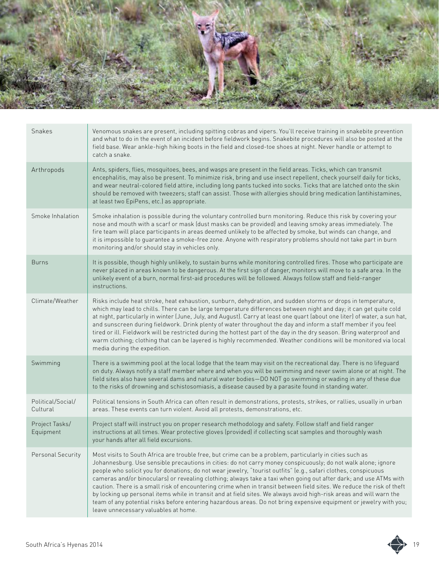

| Snakes                        | Venomous snakes are present, including spitting cobras and vipers. You'll receive training in snakebite prevention<br>and what to do in the event of an incident before fieldwork begins. Snakebite procedures will also be posted at the<br>field base. Wear ankle-high hiking boots in the field and closed-toe shoes at night. Never handle or attempt to<br>catch a snake.                                                                                                                                                                                                                                                                                                                                                                                                                                                                                                  |
|-------------------------------|---------------------------------------------------------------------------------------------------------------------------------------------------------------------------------------------------------------------------------------------------------------------------------------------------------------------------------------------------------------------------------------------------------------------------------------------------------------------------------------------------------------------------------------------------------------------------------------------------------------------------------------------------------------------------------------------------------------------------------------------------------------------------------------------------------------------------------------------------------------------------------|
| Arthropods                    | Ants, spiders, flies, mosquitoes, bees, and wasps are present in the field areas. Ticks, which can transmit<br>encephalitis, may also be present. To minimize risk, bring and use insect repellent, check yourself daily for ticks,<br>and wear neutral-colored field attire, including long pants tucked into socks. Ticks that are latched onto the skin<br>should be removed with tweezers; staff can assist. Those with allergies should bring medication (antihistamines,<br>at least two EpiPens, etc.) as appropriate.                                                                                                                                                                                                                                                                                                                                                   |
| Smoke Inhalation              | Smoke inhalation is possible during the voluntary controlled burn monitoring. Reduce this risk by covering your<br>nose and mouth with a scarf or mask (dust masks can be provided) and leaving smoky areas immediately. The<br>fire team will place participants in areas deemed unlikely to be affected by smoke, but winds can change, and<br>it is impossible to guarantee a smoke-free zone. Anyone with respiratory problems should not take part in burn<br>monitoring and/or should stay in vehicles only.                                                                                                                                                                                                                                                                                                                                                              |
| <b>Burns</b>                  | It is possible, though highly unlikely, to sustain burns while monitoring controlled fires. Those who participate are<br>never placed in areas known to be dangerous. At the first sign of danger, monitors will move to a safe area. In the<br>unlikely event of a burn, normal first-aid procedures will be followed. Always follow staff and field-ranger<br>instructions.                                                                                                                                                                                                                                                                                                                                                                                                                                                                                                   |
| Climate/Weather               | Risks include heat stroke, heat exhaustion, sunburn, dehydration, and sudden storms or drops in temperature,<br>which may lead to chills. There can be large temperature differences between night and day; it can get quite cold<br>at night, particularly in winter (June, July, and August). Carry at least one quart (about one liter) of water, a sun hat,<br>and sunscreen during fieldwork. Drink plenty of water throughout the day and inform a staff member if you feel<br>tired or ill. Fieldwork will be restricted during the hottest part of the day in the dry season. Bring waterproof and<br>warm clothing; clothing that can be layered is highly recommended. Weather conditions will be monitored via local<br>media during the expedition.                                                                                                                 |
| Swimming                      | There is a swimming pool at the local lodge that the team may visit on the recreational day. There is no lifeguard<br>on duty. Always notify a staff member where and when you will be swimming and never swim alone or at night. The<br>field sites also have several dams and natural water bodies-DO NOT go swimming or wading in any of these due<br>to the risks of drowning and schistosomiasis, a disease caused by a parasite found in standing water.                                                                                                                                                                                                                                                                                                                                                                                                                  |
| Political/Social/<br>Cultural | Political tensions in South Africa can often result in demonstrations, protests, strikes, or rallies, usually in urban<br>areas. These events can turn violent. Avoid all protests, demonstrations, etc.                                                                                                                                                                                                                                                                                                                                                                                                                                                                                                                                                                                                                                                                        |
| Project Tasks/<br>Equipment   | Project staff will instruct you on proper research methodology and safety. Follow staff and field ranger<br>instructions at all times. Wear protective gloves (provided) if collecting scat samples and thoroughly wash<br>your hands after all field excursions.                                                                                                                                                                                                                                                                                                                                                                                                                                                                                                                                                                                                               |
| Personal Security             | Most visits to South Africa are trouble free, but crime can be a problem, particularly in cities such as<br>Johannesburg. Use sensible precautions in cities: do not carry money conspicuously; do not walk alone; ignore<br>people who solicit you for donations; do not wear jewelry, "tourist outfits" (e.g., safari clothes, conspicuous<br>cameras and/or binoculars) or revealing clothing; always take a taxi when going out after dark; and use ATMs with<br>caution. There is a small risk of encountering crime when in transit between field sites. We reduce the risk of theft<br>by locking up personal items while in transit and at field sites. We always avoid high-risk areas and will warn the<br>team of any potential risks before entering hazardous areas. Do not bring expensive equipment or jewelry with you;<br>leave unnecessary valuables at home. |

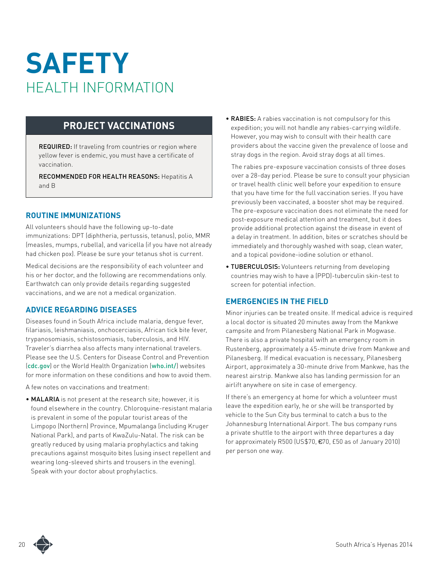## <span id="page-21-0"></span>**SAFETY** HEALTH INFORMATION

### **PROJECT VACCINATIONS**

REQUIRED: If traveling from countries or region where yellow fever is endemic, you must have a certificate of vaccination.

RECOMMENDED FOR HEALTH REASONS: Hepatitis A and B

#### **ROUTINE IMMUNIZATIONS**

All volunteers should have the following up-to-date immunizations: DPT (diphtheria, pertussis, tetanus), polio, MMR (measles, mumps, rubella), and varicella (if you have not already had chicken pox). Please be sure your tetanus shot is current.

Medical decisions are the responsibility of each volunteer and his or her doctor, and the following are recommendations only. Earthwatch can only provide details regarding suggested vaccinations, and we are not a medical organization.

#### **ADVICE REGARDING DISEASES**

Diseases found in South Africa include malaria, dengue fever, filariasis, leishmaniasis, onchocerciasis, African tick bite fever, trypanosomiasis, schistosomiasis, tuberculosis, and HIV. Traveler's diarrhea also affects many international travelers. Please see the U.S. Centers for Disease Control and Prevention ([cdc.gov](http://www.cdc.gov)) or the World Health Organization ([who.int/](http://www.who.int/en/)) websites for more information on these conditions and how to avoid them.

A few notes on vaccinations and treatment:

• MALARIA is not present at the research site; however, it is found elsewhere in the country. Chloroquine-resistant malaria is prevalent in some of the popular tourist areas of the Limpopo (Northern) Province, Mpumalanga (including Kruger National Park), and parts of KwaZulu-Natal. The risk can be greatly reduced by using malaria prophylactics and taking precautions against mosquito bites (using insect repellent and wearing long-sleeved shirts and trousers in the evening). Speak with your doctor about prophylactics.

• RABIES: A rabies vaccination is not compulsory for this expedition; you will not handle any rabies-carrying wildlife. However, you may wish to consult with their health care providers about the vaccine given the prevalence of loose and stray dogs in the region. Avoid stray dogs at all times.

 The rabies pre-exposure vaccination consists of three doses over a 28-day period. Please be sure to consult your physician or travel health clinic well before your expedition to ensure that you have time for the full vaccination series. If you have previously been vaccinated, a booster shot may be required. The pre-exposure vaccination does not eliminate the need for post-exposure medical attention and treatment, but it does provide additional protection against the disease in event of a delay in treatment. In addition, bites or scratches should be immediately and thoroughly washed with soap, clean water, and a topical povidone-iodine solution or ethanol.

• TUBERCULOSIS: Volunteers returning from developing countries may wish to have a (PPD)-tuberculin skin-test to screen for potential infection.

#### **EMERGENCIES IN THE FIELD**

Minor injuries can be treated onsite. If medical advice is required a local doctor is situated 20 minutes away from the Mankwe campsite and from Pilanesberg National Park in Mogwase. There is also a private hospital with an emergency room in Rustenberg, approximately a 45-minute drive from Mankwe and Pilanesberg. If medical evacuation is necessary, Pilanesberg Airport, approximately a 30-minute drive from Mankwe, has the nearest airstrip. Mankwe also has landing permission for an airlift anywhere on site in case of emergency.

If there's an emergency at home for which a volunteer must leave the expedition early, he or she will be transported by vehicle to the Sun City bus terminal to catch a bus to the Johannesburg International Airport. The bus company runs a private shuttle to the airport with three departures a day for approximately R500 (US\$70, €70, £50 as of January 2010) per person one way.

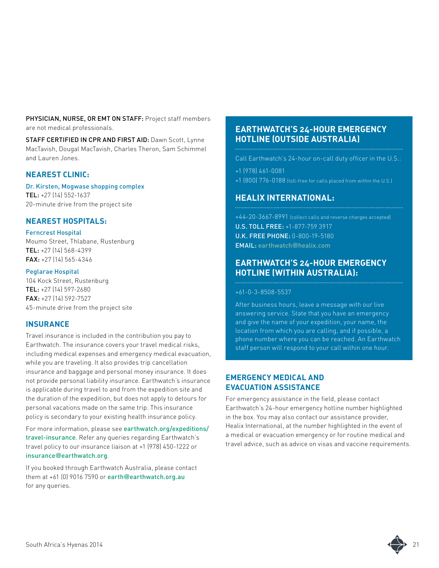PHYSICIAN, NURSE, OR EMT ON STAFF: Project staff members are not medical professionals.

STAFF CERTIFIED IN CPR AND FIRST AID: Dawn Scott, Lynne MacTavish, Dougal MacTavish, Charles Theron, Sam Schimmel and Lauren Jones.

#### **NEAREST CLINIC:**

Dr. Kirsten, Mogwase shopping complex TEL: +27 (14) 552-1637 20-minute drive from the project site

#### **NEAREST HOSPITALS:**

Ferncrest Hospital

Moumo Street, Thlabane, Rustenburg TEL: +27 (14) 568-4399 FAX: +27 (14) 565-4346

#### Peglarae Hospital

104 Kock Street, Rustenburg TEL: +27 (14) 597-2680 FAX: +27 (14) 592-7527 45-minute drive from the project site

#### **INSURANCE**

Travel insurance is included in the contribution you pay to Earthwatch. The insurance covers your travel medical risks, including medical expenses and emergency medical evacuation, while you are traveling. It also provides trip cancellation insurance and baggage and personal money insurance. It does not provide personal liability insurance. Earthwatch's insurance is applicable during travel to and from the expedition site and the duration of the expedition, but does not apply to detours for personal vacations made on the same trip. This insurance policy is secondary to your existing health insurance policy.

For more information, please see [earthwatch.org/expeditions/](http://earthwatch.org/expeditions/travel-insurance) [travel-insurance](http://earthwatch.org/expeditions/travel-insurance). Refer any queries regarding Earthwatch's travel policy to our insurance liaison at +1 (978) 450-1222 or insurance**@**[earthwatch.org](mailto:insurance@earthwatch.org).

If you booked through Earthwatch Australia, please contact them at +61 (0) 9016 7590 or earth**@**[earthwatch.org.au](mailto:earth@earthwatch.org.au) for any queries.

#### **EARTHWATCH'S 24-HOUR EMERGENCY HOTLINE (OUTSIDE AUSTRALIA)**

Call Earthwatch's 24-hour on-call duty officer in the U.S.:

- +1 (978) 461-0081
- +1 (800) 776-0188 (toll-free for calls placed from within the U.S.)

#### **HEALIX INTERNATIONAL:**

+44-20-3667-8991 (collect calls and reverse charges accepted) U.S. TOLL FREE: +1-877-759 3917 U.K. FREE PHONE: 0-800-19-5180 EMAIL: [earthwatch](mailto:earthwatch@healix.com )**@**healix.com

#### **EARTHWATCH'S 24-HOUR EMERGENCY HOTLINE (WITHIN AUSTRALIA):**

+61-0-3-8508-5537

After business hours, leave a message with our live answering service. State that you have an emergency and give the name of your expedition, your name, the location from which you are calling, and if possible, a phone number where you can be reached. An Earthwatch staff person will respond to your call within one hour.

#### **EMERGENCY MEDICAL AND EVACUATION ASSISTANCE**

For emergency assistance in the field, please contact Earthwatch's 24-hour emergency hotline number highlighted in the box. You may also contact our assistance provider, Healix International, at the number highlighted in the event of a medical or evacuation emergency or for routine medical and travel advice, such as advice on visas and vaccine requirements.

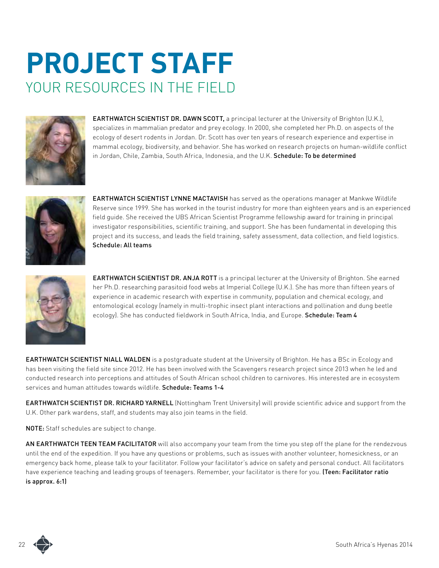## <span id="page-23-0"></span>**PROJECT STAFF** YOUR RESOURCES IN THE FIELD



EARTHWATCH SCIENTIST DR. DAWN SCOTT, a principal lecturer at the University of Brighton (U.K.), specializes in mammalian predator and prey ecology. In 2000, she completed her Ph.D. on aspects of the ecology of desert rodents in Jordan. Dr. Scott has over ten years of research experience and expertise in mammal ecology, biodiversity, and behavior. She has worked on research projects on human-wildlife conflict in Jordan, Chile, Zambia, South Africa, Indonesia, and the U.K. Schedule: To be determined



EARTHWATCH SCIENTIST LYNNE MACTAVISH has served as the operations manager at Mankwe Wildlife Reserve since 1999. She has worked in the tourist industry for more than eighteen years and is an experienced field guide. She received the UBS African Scientist Programme fellowship award for training in principal investigator responsibilities, scientific training, and support. She has been fundamental in developing this project and its success, and leads the field training, safety assessment, data collection, and field logistics. Schedule: All teams



EARTHWATCH SCIENTIST DR. ANJA ROTT is a principal lecturer at the University of Brighton. She earned her Ph.D. researching parasitoid food webs at Imperial College (U.K.). She has more than fifteen years of experience in academic research with expertise in community, population and chemical ecology, and entomological ecology (namely in multi-trophic insect plant interactions and pollination and dung beetle ecology). She has conducted fieldwork in South Africa, India, and Europe. Schedule: Team 4

EARTHWATCH SCIENTIST NIALL WALDEN is a postgraduate student at the University of Brighton. He has a BSc in Ecology and has been visiting the field site since 2012. He has been involved with the Scavengers research project since 2013 when he led and conducted research into perceptions and attitudes of South African school children to carnivores. His interested are in ecosystem services and human attitudes towards wildlife. Schedule: Teams 1-4

EARTHWATCH SCIENTIST DR. RICHARD YARNELL (Nottingham Trent University) will provide scientific advice and support from the U.K. Other park wardens, staff, and students may also join teams in the field.

NOTE: Staff schedules are subject to change.

AN EARTHWATCH TEEN TEAM FACILITATOR will also accompany your team from the time you step off the plane for the rendezvous until the end of the expedition. If you have any questions or problems, such as issues with another volunteer, homesickness, or an emergency back home, please talk to your facilitator. Follow your facilitator's advice on safety and personal conduct. All facilitators have experience teaching and leading groups of teenagers. Remember, your facilitator is there for you. (Teen: Facilitator ratio is approx. 6:1)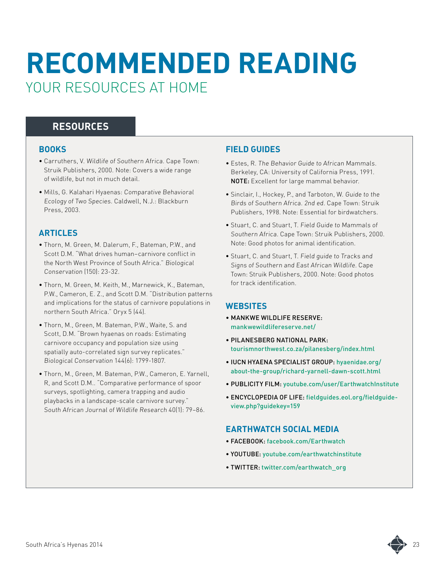## <span id="page-24-0"></span>**RECOMMENDED READING** YOUR RESOURCES AT HOME

### **RESOURCES**

#### **BOOKS**

- Carruthers, V. Wildlife of Southern Africa. Cape Town: Struik Publishers, 2000. Note: Covers a wide range of wildlife, but not in much detail.
- Mills, G. Kalahari Hyaenas: Comparative Behavioral Ecology of Two Species. Caldwell, N.J.: Blackburn Press, 2003.

#### **ARTICLES**

- Thorn, M. Green, M. Dalerum, F., Bateman, P.W., and Scott D.M. "What drives human–carnivore conflict in the North West Province of South Africa." Biological Conservation (150): 23-32.
- Thorn, M. Green, M. Keith, M., Marnewick, K., Bateman, P.W., Cameron, E. Z., and Scott D.M. "Distribution patterns and implications for the status of carnivore populations in northern South Africa." Oryx 5 (44).
- Thorn, M., Green, M. Bateman, P.W., Waite, S. and Scott, D.M. "Brown hyaenas on roads: Estimating carnivore occupancy and population size using spatially auto-correlated sign survey replicates." Biological Conservation 144(6): 1799-1807.
- Thorn, M., Green, M. Bateman, P.W., Cameron, E. Yarnell, R, and Scott D.M.. "Comparative performance of spoor surveys, spotlighting, camera trapping and audio playbacks in a landscape-scale carnivore survey." South African Journal of Wildlife Research 40(1): 79–86.

### **FIELD GUIDES**

- Estes, R. The Behavior Guide to African Mammals. Berkeley, CA: University of California Press, 1991. NOTE: Excellent for large mammal behavior.
- Sinclair, I., Hockey, P., and Tarboton, W. Guide to the Birds of Southern Africa. 2nd ed. Cape Town: Struik Publishers, 1998. Note: Essential for birdwatchers.
- Stuart, C. and Stuart, T. Field Guide to Mammals of Southern Africa. Cape Town: Struik Publishers, 2000. Note: Good photos for animal identification.
- Stuart, C. and Stuart, T. Field guide to Tracks and Signs of Southern and East African Wildlife. Cape Town: Struik Publishers, 2000. Note: Good photos for track identification.

### **WEBSITES**

- MANKWE WILDLIFE RESERVE: [mankwewildlifereserve.net/](http://earthwatch.org/expeditions/south-africas-hyenas/south-africas-hyenas-teenwww.mankwewildlifereserve.net/ )
- PILANESBERG NATIONAL PARK: [tourismnorthwest.co.za/pilanesberg/index.html](http://www.parksnorthwest.co.za/pilanesberg/)
- IUCN HYAENA SPECIALIST GROUP: [hyaenidae.org/](http://www.hyaenidae.org/about-the-group/richard-yarnell-dawn-scott.html) [about-the-group/richard-yarnell-dawn-scott.html](http://www.hyaenidae.org/about-the-group/richard-yarnell-dawn-scott.html)
- PUBLICITY FILM: [youtube.com/user/EarthwatchInstitute](http://www.youtube.com/user/EarthwatchInstitute)
- ENCYCLOPEDIA OF LIFE: [fieldguides.eol.org/fieldguide](http://www.fieldguides.eol.org/fieldguide-view.php?guidekey=159)[view.php?guidekey=159](http://www.fieldguides.eol.org/fieldguide-view.php?guidekey=159)

### **EARTHWATCH SOCIAL MEDIA**

- FACEBOOK: [facebook.com/Earthwatch](https://www.facebook.com/Earthwatch)
- YOUTUBE: [youtube.com/earthwatchinstitute](http://www.youtube.com/earthwatchinstitute)
- TWITTER: [twitter.com/earthwatch\\_org](https://twitter.com/earthwatch_org)

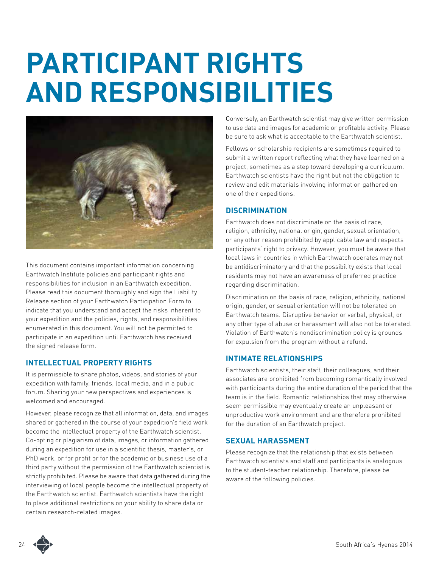# <span id="page-25-0"></span>**PARTICIPANT RIGHTS AND RESPONSIBILITIES**



This document contains important information concerning Earthwatch Institute policies and participant rights and responsibilities for inclusion in an Earthwatch expedition. Please read this document thoroughly and sign the Liability Release section of your Earthwatch Participation Form to indicate that you understand and accept the risks inherent to your expedition and the policies, rights, and responsibilities enumerated in this document. You will not be permitted to participate in an expedition until Earthwatch has received the signed release form.

#### **INTELLECTUAL PROPERTY RIGHTS**

It is permissible to share photos, videos, and stories of your expedition with family, friends, local media, and in a public forum. Sharing your new perspectives and experiences is welcomed and encouraged.

However, please recognize that all information, data, and images shared or gathered in the course of your expedition's field work become the intellectual property of the Earthwatch scientist. Co-opting or plagiarism of data, images, or information gathered during an expedition for use in a scientific thesis, master's, or PhD work, or for profit or for the academic or business use of a third party without the permission of the Earthwatch scientist is strictly prohibited. Please be aware that data gathered during the interviewing of local people become the intellectual property of the Earthwatch scientist. Earthwatch scientists have the right to place additional restrictions on your ability to share data or certain research-related images.

Conversely, an Earthwatch scientist may give written permission to use data and images for academic or profitable activity. Please be sure to ask what is acceptable to the Earthwatch scientist.

Fellows or scholarship recipients are sometimes required to submit a written report reflecting what they have learned on a project, sometimes as a step toward developing a curriculum. Earthwatch scientists have the right but not the obligation to review and edit materials involving information gathered on one of their expeditions.

#### **DISCRIMINATION**

Earthwatch does not discriminate on the basis of race, religion, ethnicity, national origin, gender, sexual orientation, or any other reason prohibited by applicable law and respects participants' right to privacy. However, you must be aware that local laws in countries in which Earthwatch operates may not be antidiscriminatory and that the possibility exists that local residents may not have an awareness of preferred practice regarding discrimination.

Discrimination on the basis of race, religion, ethnicity, national origin, gender, or sexual orientation will not be tolerated on Earthwatch teams. Disruptive behavior or verbal, physical, or any other type of abuse or harassment will also not be tolerated. Violation of Earthwatch's nondiscrimination policy is grounds for expulsion from the program without a refund.

#### **INTIMATE RELATIONSHIPS**

Earthwatch scientists, their staff, their colleagues, and their associates are prohibited from becoming romantically involved with participants during the entire duration of the period that the team is in the field. Romantic relationships that may otherwise seem permissible may eventually create an unpleasant or unproductive work environment and are therefore prohibited for the duration of an Earthwatch project.

#### **SEXUAL HARASSMENT**

Please recognize that the relationship that exists between Earthwatch scientists and staff and participants is analogous to the student-teacher relationship. Therefore, please be aware of the following policies.

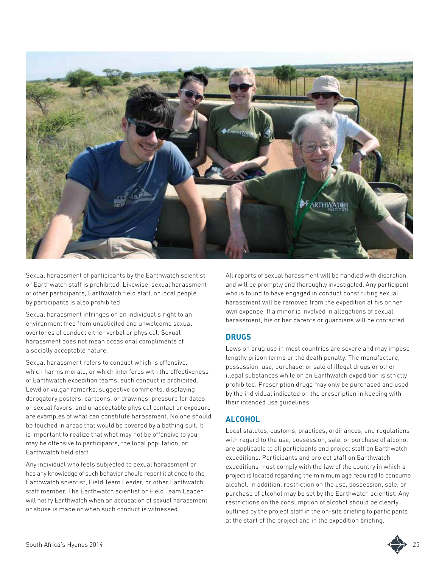

Sexual harassment of participants by the Earthwatch scientist or Earthwatch staff is prohibited. Likewise, sexual harassment of other participants, Earthwatch field staff, or local people by participants is also prohibited.

Sexual harassment infringes on an individual's right to an environment free from unsolicited and unwelcome sexual overtones of conduct either verbal or physical. Sexual harassment does not mean occasional compliments of a socially acceptable nature.

Sexual harassment refers to conduct which is offensive, which harms morale, or which interferes with the effectiveness of Earthwatch expedition teams; such conduct is prohibited. Lewd or vulgar remarks, suggestive comments, displaying derogatory posters, cartoons, or drawings, pressure for dates or sexual favors, and unacceptable physical contact or exposure are examples of what can constitute harassment. No one should be touched in areas that would be covered by a bathing suit. It is important to realize that what may not be offensive to you may be offensive to participants, the local population, or Earthwatch field staff.

Any individual who feels subjected to sexual harassment or has any knowledge of such behavior should report it at once to the Earthwatch scientist, Field Team Leader, or other Earthwatch staff member. The Earthwatch scientist or Field Team Leader will notify Earthwatch when an accusation of sexual harassment or abuse is made or when such conduct is witnessed.

All reports of sexual harassment will be handled with discretion and will be promptly and thoroughly investigated. Any participant who is found to have engaged in conduct constituting sexual harassment will be removed from the expedition at his or her own expense. If a minor is involved in allegations of sexual harassment, his or her parents or guardians will be contacted.

#### **DRUGS**

Laws on drug use in most countries are severe and may impose lengthy prison terms or the death penalty. The manufacture, possession, use, purchase, or sale of illegal drugs or other illegal substances while on an Earthwatch expedition is strictly prohibited. Prescription drugs may only be purchased and used by the individual indicated on the prescription in keeping with their intended use guidelines.

#### **ALCOHOL**

Local statutes, customs, practices, ordinances, and regulations with regard to the use, possession, sale, or purchase of alcohol are applicable to all participants and project staff on Earthwatch expeditions. Participants and project staff on Earthwatch expeditions must comply with the law of the country in which a project is located regarding the minimum age required to consume alcohol. In addition, restriction on the use, possession, sale, or purchase of alcohol may be set by the Earthwatch scientist. Any restrictions on the consumption of alcohol should be clearly outlined by the project staff in the on-site briefing to participants at the start of the project and in the expedition briefing.

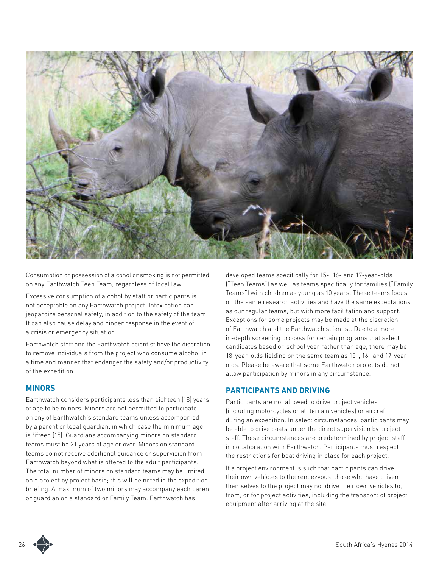

Consumption or possession of alcohol or smoking is not permitted on any Earthwatch Teen Team, regardless of local law.

Excessive consumption of alcohol by staff or participants is not acceptable on any Earthwatch project. Intoxication can jeopardize personal safety, in addition to the safety of the team. It can also cause delay and hinder response in the event of a crisis or emergency situation.

Earthwatch staff and the Earthwatch scientist have the discretion to remove individuals from the project who consume alcohol in a time and manner that endanger the safety and/or productivity of the expedition.

#### **MINORS**

Earthwatch considers participants less than eighteen (18) years of age to be minors. Minors are not permitted to participate on any of Earthwatch's standard teams unless accompanied by a parent or legal guardian, in which case the minimum age is fifteen (15). Guardians accompanying minors on standard teams must be 21 years of age or over. Minors on standard teams do not receive additional guidance or supervision from Earthwatch beyond what is offered to the adult participants. The total number of minors on standard teams may be limited on a project by project basis; this will be noted in the expedition briefing. A maximum of two minors may accompany each parent or guardian on a standard or Family Team. Earthwatch has

developed teams specifically for 15-, 16- and 17-year-olds ("Teen Teams") as well as teams specifically for families ("Family Teams") with children as young as 10 years. These teams focus on the same research activities and have the same expectations as our regular teams, but with more facilitation and support. Exceptions for some projects may be made at the discretion of Earthwatch and the Earthwatch scientist. Due to a more in-depth screening process for certain programs that select candidates based on school year rather than age, there may be 18-year-olds fielding on the same team as 15-, 16- and 17-yearolds. Please be aware that some Earthwatch projects do not allow participation by minors in any circumstance.

#### **PARTICIPANTS AND DRIVING**

Participants are not allowed to drive project vehicles (including motorcycles or all terrain vehicles) or aircraft during an expedition. In select circumstances, participants may be able to drive boats under the direct supervision by project staff. These circumstances are predetermined by project staff in collaboration with Earthwatch. Participants must respect the restrictions for boat driving in place for each project.

If a project environment is such that participants can drive their own vehicles to the rendezvous, those who have driven themselves to the project may not drive their own vehicles to, from, or for project activities, including the transport of project equipment after arriving at the site.

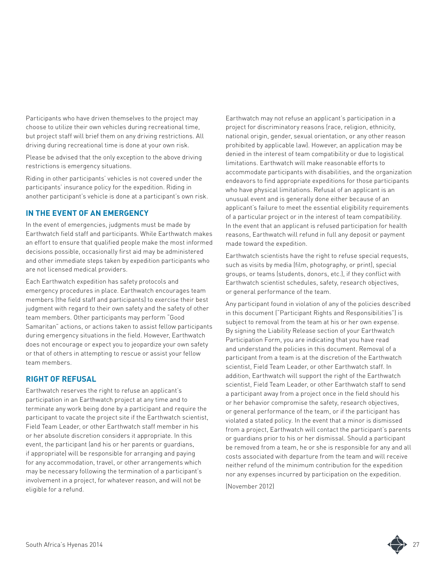Participants who have driven themselves to the project may choose to utilize their own vehicles during recreational time, but project staff will brief them on any driving restrictions. All driving during recreational time is done at your own risk.

Please be advised that the only exception to the above driving restrictions is emergency situations.

Riding in other participants' vehicles is not covered under the participants' insurance policy for the expedition. Riding in another participant's vehicle is done at a participant's own risk.

#### **IN THE EVENT OF AN EMERGENCY**

In the event of emergencies, judgments must be made by Earthwatch field staff and participants. While Earthwatch makes an effort to ensure that qualified people make the most informed decisions possible, occasionally first aid may be administered and other immediate steps taken by expedition participants who are not licensed medical providers.

Each Earthwatch expedition has safety protocols and emergency procedures in place. Earthwatch encourages team members (the field staff and participants) to exercise their best judgment with regard to their own safety and the safety of other team members. Other participants may perform "Good Samaritan" actions, or actions taken to assist fellow participants during emergency situations in the field. However, Earthwatch does not encourage or expect you to jeopardize your own safety or that of others in attempting to rescue or assist your fellow team members.

#### **RIGHT OF REFUSAL**

Earthwatch reserves the right to refuse an applicant's participation in an Earthwatch project at any time and to terminate any work being done by a participant and require the participant to vacate the project site if the Earthwatch scientist, Field Team Leader, or other Earthwatch staff member in his or her absolute discretion considers it appropriate. In this event, the participant (and his or her parents or guardians, if appropriate) will be responsible for arranging and paying for any accommodation, travel, or other arrangements which may be necessary following the termination of a participant's involvement in a project, for whatever reason, and will not be eligible for a refund.

Earthwatch may not refuse an applicant's participation in a project for discriminatory reasons (race, religion, ethnicity, national origin, gender, sexual orientation, or any other reason prohibited by applicable law). However, an application may be denied in the interest of team compatibility or due to logistical limitations. Earthwatch will make reasonable efforts to accommodate participants with disabilities, and the organization endeavors to find appropriate expeditions for those participants who have physical limitations. Refusal of an applicant is an unusual event and is generally done either because of an applicant's failure to meet the essential eligibility requirements of a particular project or in the interest of team compatibility. In the event that an applicant is refused participation for health reasons, Earthwatch will refund in full any deposit or payment made toward the expedition.

Earthwatch scientists have the right to refuse special requests, such as visits by media (film, photography, or print), special groups, or teams (students, donors, etc.), if they conflict with Earthwatch scientist schedules, safety, research objectives, or general performance of the team.

Any participant found in violation of any of the policies described in this document ("Participant Rights and Responsibilities") is subject to removal from the team at his or her own expense. By signing the Liability Release section of your Earthwatch Participation Form, you are indicating that you have read and understand the policies in this document. Removal of a participant from a team is at the discretion of the Earthwatch scientist, Field Team Leader, or other Earthwatch staff. In addition, Earthwatch will support the right of the Earthwatch scientist, Field Team Leader, or other Earthwatch staff to send a participant away from a project once in the field should his or her behavior compromise the safety, research objectives, or general performance of the team, or if the participant has violated a stated policy. In the event that a minor is dismissed from a project, Earthwatch will contact the participant's parents or guardians prior to his or her dismissal. Should a participant be removed from a team, he or she is responsible for any and all costs associated with departure from the team and will receive neither refund of the minimum contribution for the expedition nor any expenses incurred by participation on the expedition.

(November 2012)

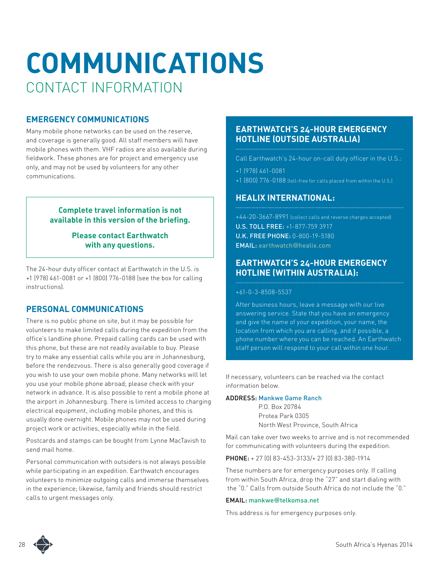## <span id="page-29-0"></span>**COMMUNICATIONS** CONTACT INFORMATION

#### **EMERGENCY COMMUNICATIONS**

Many mobile phone networks can be used on the reserve, and coverage is generally good. All staff members will have mobile phones with them. VHF radios are also available during fieldwork. These phones are for project and emergency use only, and may not be used by volunteers for any other communications.

#### **Complete travel information is not available in this version of the briefing.**

#### **Please contact Earthwatch with any questions.**

The 24-hour duty officer contact at Earthwatch in the U.S. is +1 (978) 461-0081 or +1 (800) 776-0188 (see the box for calling instructions).

#### **PERSONAL COMMUNICATIONS**

There is no public phone on site, but it may be possible for volunteers to make limited calls during the expedition from the office's landline phone. Prepaid calling cards can be used with this phone, but these are not readily available to buy. Please try to make any essential calls while you are in Johannesburg, before the rendezvous. There is also generally good coverage if you wish to use your own mobile phone. Many networks will let you use your mobile phone abroad; please check with your network in advance. It is also possible to rent a mobile phone at the airport in Johannesburg. There is limited access to charging electrical equipment, including mobile phones, and this is usually done overnight. Mobile phones may not be used during project work or activities, especially while in the field.

Postcards and stamps can be bought from Lynne MacTavish to send mail home.

Personal communication with outsiders is not always possible while participating in an expedition. Earthwatch encourages volunteers to minimize outgoing calls and immerse themselves in the experience; likewise, family and friends should restrict calls to urgent messages only.

### **EARTHWATCH'S 24-HOUR EMERGENCY HOTLINE (OUTSIDE AUSTRALIA)**

Call Earthwatch's 24-hour on-call duty officer in the U.S.:

- +1 (978) 461-0081
- +1 (800) 776-0188 (toll-free for calls placed from within the U.S.)

#### **HEALIX INTERNATIONAL:**

+44-20-3667-8991 (collect calls and reverse charges accepted) U.S. TOLL FREE: +1-877-759 3917 U.K. FREE PHONE: 0-800-19-5180 EMAIL: [earthwatch](mailto:earthwatch@healix.com )**@**healix.com

#### **EARTHWATCH'S 24-HOUR EMERGENCY HOTLINE (WITHIN AUSTRALIA):**

+61-0-3-8508-5537

After business hours, leave a message with our live answering service. State that you have an emergency and give the name of your expedition, your name, the location from which you are calling, and if possible, a phone number where you can be reached. An Earthwatch staff person will respond to your call within one hour.

If necessary, volunteers can be reached via the contact information below.

#### ADDRESS: Mankwe Game Ranch

P.O. Box 20784 Protea Park 0305 North West Province, South Africa

Mail can take over two weeks to arrive and is not recommended for communicating with volunteers during the expedition.

PHONE: + 27 (0) 83-453-3133/+ 27 (0) 83-380-1914

These numbers are for emergency purposes only. If calling from within South Africa, drop the "27" and start dialing with the "0." Calls from outside South Africa do not include the "0."

#### EMAIL: mankwe**@**[telkomsa.net](mailto:mankwe@telkomsa.net)

This address is for emergency purposes only.



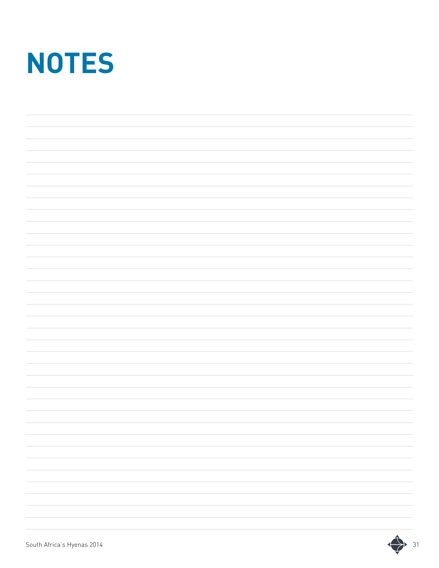

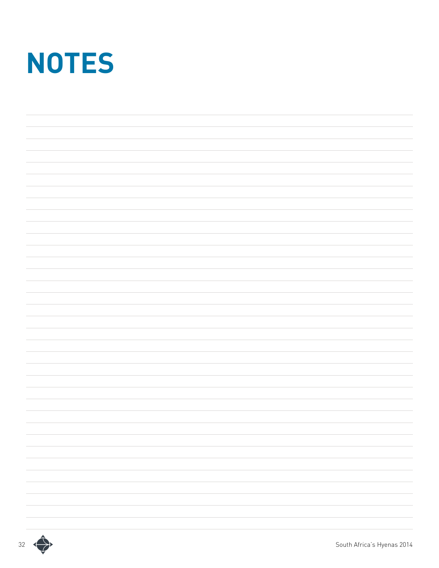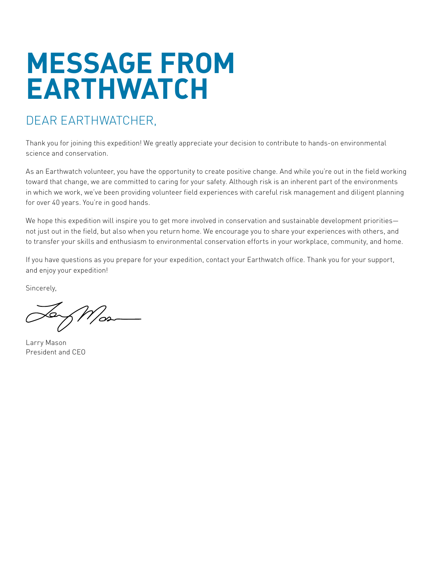# **MESSAGE FROM EARTHWATCH**

## DEAR EARTHWATCHER,

Thank you for joining this expedition! We greatly appreciate your decision to contribute to hands-on environmental science and conservation.

As an Earthwatch volunteer, you have the opportunity to create positive change. And while you're out in the field working toward that change, we are committed to caring for your safety. Although risk is an inherent part of the environments in which we work, we've been providing volunteer field experiences with careful risk management and diligent planning for over 40 years. You're in good hands.

We hope this expedition will inspire you to get more involved in conservation and sustainable development priorities not just out in the field, but also when you return home. We encourage you to share your experiences with others, and to transfer your skills and enthusiasm to environmental conservation efforts in your workplace, community, and home.

If you have questions as you prepare for your expedition, contact your Earthwatch office. Thank you for your support, and enjoy your expedition!

Sincerely,

 $\mathscr{M}_{\mathscr{P}}$ 

Larry Mason President and CEO